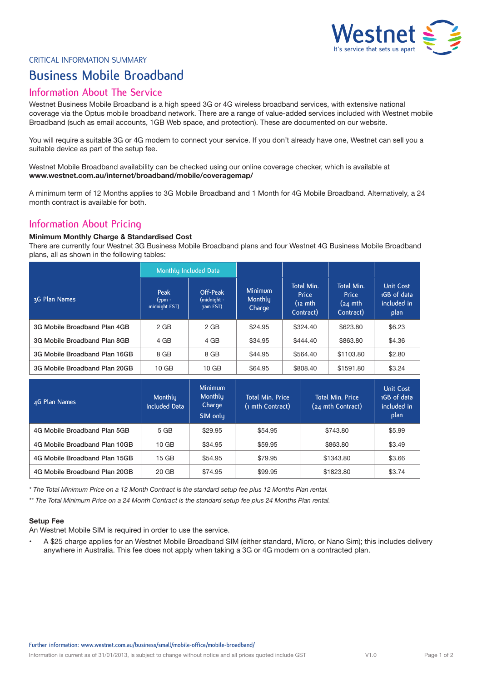

CRITICAL INFORMATION SUMMARY

# **Business Mobile Broadband**

# **Information About The Service**

Westnet Business Mobile Broadband is a high speed 3G or 4G wireless broadband services, with extensive national coverage via the Optus mobile broadband network. There are a range of value-added services included with Westnet mobile Broadband (such as email accounts, 1GB Web space, and protection). These are documented on our website.

You will require a suitable 3G or 4G modem to connect your service. If you don't already have one, Westnet can sell you a suitable device as part of the setup fee.

Westnet Mobile Broadband availability can be checked using our online coverage checker, which is available at **www.westnet.com.au/internet/broadband/mobile/coveragemap/**

A minimum term of 12 Months applies to 3G Mobile Broadband and 1 Month for 4G Mobile Broadband. Alternatively, a 24 month contract is available for both.

# **Information About Pricing**

# **Minimum Monthly Charge & Standardised Cost**

There are currently four Westnet 3G Business Mobile Broadband plans and four Westnet 4G Business Mobile Broadband plans, all as shown in the following tables:

|                               | Monthly Included Data             |                                     |                                     |                                               |                                             |                                                        |
|-------------------------------|-----------------------------------|-------------------------------------|-------------------------------------|-----------------------------------------------|---------------------------------------------|--------------------------------------------------------|
| 3G Plan Names                 | Peak<br>$(7pm -$<br>midnight EST) | Off-Peak<br>(midnight -<br>7am EST) | Minimum<br><b>Monthly</b><br>Charge | Total Min.<br>Price<br>$(i2$ mth<br>Contract) | Total Min.<br>Price<br>(24 mth<br>Contract) | <b>Unit Cost</b><br>1GB of data<br>included in<br>plan |
| 3G Mobile Broadband Plan 4GB  | $2$ GB                            | $2$ GB                              | \$24.95                             | \$324.40                                      | \$623.80                                    | \$6.23                                                 |
| 3G Mobile Broadband Plan 8GB  | 4 GB                              | 4 GB                                | \$34.95                             | \$444.40                                      | \$863.80                                    | \$4.36                                                 |
| 3G Mobile Broadband Plan 16GB | 8 GB                              | 8 GB                                | \$44.95                             | \$564.40                                      | \$1103.80                                   | \$2.80                                                 |
| 3G Mobile Broadband Plan 20GB | 10 <sub>GB</sub>                  | 10 <sub>GB</sub>                    | \$64.95                             | \$808.40                                      | \$1591.80                                   | \$3.24                                                 |

| 4G Plan Names                 | <b>Monthly</b><br><b>Included Data</b> | <b>Minimum</b><br><b>Monthly</b><br>Charge<br>SIM only | <b>Total Min. Price</b><br>(1 mth Contract) | Total Min. Price<br>(24 mth Contract) | <b>Unit Cost</b><br>1GB of data<br>included in<br>plan |
|-------------------------------|----------------------------------------|--------------------------------------------------------|---------------------------------------------|---------------------------------------|--------------------------------------------------------|
| 4G Mobile Broadband Plan 5GB  | 5 GB                                   | \$29.95                                                | \$54.95                                     | \$743.80                              | \$5.99                                                 |
| 4G Mobile Broadband Plan 10GB | 10 <sub>GB</sub>                       | \$34.95                                                | \$59.95                                     | \$863.80                              | \$3.49                                                 |
| 4G Mobile Broadband Plan 15GB | 15 GB                                  | \$54.95                                                | \$79.95                                     | \$1343.80                             | \$3.66                                                 |
| 4G Mobile Broadband Plan 20GB | 20 GB                                  | \$74.95                                                | \$99.95                                     | \$1823.80                             | \$3.74                                                 |

*\* The Total Minimum Price on a 12 Month Contract is the standard setup fee plus 12 Months Plan rental.*

*\*\* The Total Minimum Price on a 24 Month Contract is the standard setup fee plus 24 Months Plan rental.*

## **Setup Fee**

An Westnet Mobile SIM is required in order to use the service.

A \$25 charge applies for an Westnet Mobile Broadband SIM (either standard, Micro, or Nano Sim); this includes delivery anywhere in Australia. This fee does not apply when taking a 3G or 4G modem on a contracted plan.